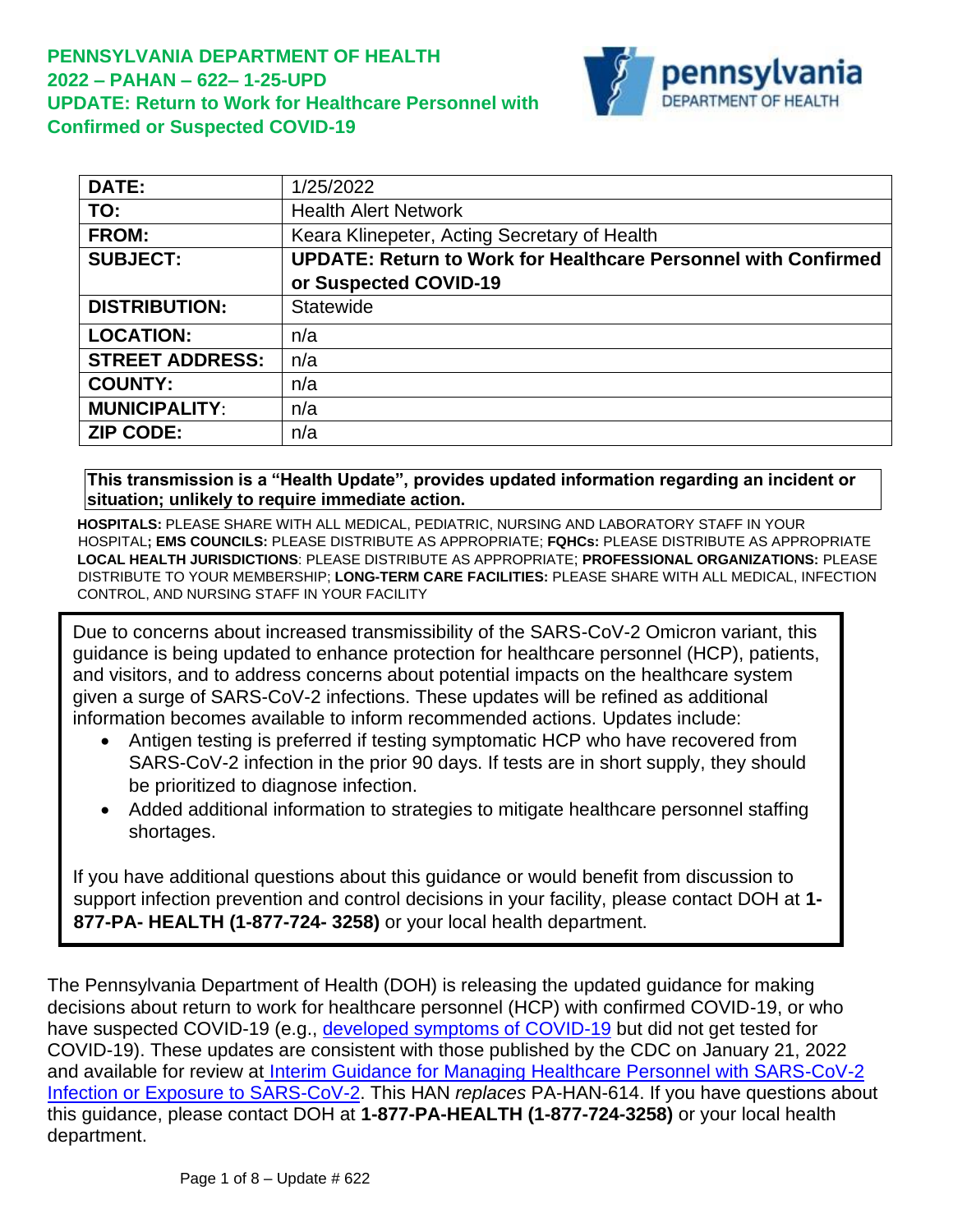

| <b>DATE:</b>           | 1/25/2022                                                             |  |  |
|------------------------|-----------------------------------------------------------------------|--|--|
| TO:                    | <b>Health Alert Network</b>                                           |  |  |
| <b>FROM:</b>           | Keara Klinepeter, Acting Secretary of Health                          |  |  |
| <b>SUBJECT:</b>        | <b>UPDATE: Return to Work for Healthcare Personnel with Confirmed</b> |  |  |
|                        | or Suspected COVID-19                                                 |  |  |
| <b>DISTRIBUTION:</b>   | Statewide                                                             |  |  |
| <b>LOCATION:</b>       | n/a                                                                   |  |  |
| <b>STREET ADDRESS:</b> | n/a                                                                   |  |  |
| <b>COUNTY:</b>         | n/a                                                                   |  |  |
| <b>MUNICIPALITY:</b>   | n/a                                                                   |  |  |
| <b>ZIP CODE:</b>       | n/a                                                                   |  |  |

**This transmission is a "Health Update", provides updated information regarding an incident or situation; unlikely to require immediate action.**

**HOSPITALS:** PLEASE SHARE WITH ALL MEDICAL, PEDIATRIC, NURSING AND LABORATORY STAFF IN YOUR HOSPITAL**; EMS COUNCILS:** PLEASE DISTRIBUTE AS APPROPRIATE; **FQHCs:** PLEASE DISTRIBUTE AS APPROPRIATE **LOCAL HEALTH JURISDICTIONS**: PLEASE DISTRIBUTE AS APPROPRIATE; **PROFESSIONAL ORGANIZATIONS:** PLEASE DISTRIBUTE TO YOUR MEMBERSHIP; **LONG-TERM CARE FACILITIES:** PLEASE SHARE WITH ALL MEDICAL, INFECTION CONTROL, AND NURSING STAFF IN YOUR FACILITY

Due to concerns about increased transmissibility of the SARS-CoV-2 Omicron variant, this guidance is being updated to enhance protection for healthcare personnel (HCP), patients, and visitors, and to address concerns about potential impacts on the healthcare system given a surge of SARS-CoV-2 infections. These updates will be refined as additional information becomes available to inform recommended actions. Updates include:

- Antigen testing is preferred if testing symptomatic HCP who have recovered from SARS-CoV-2 infection in the prior 90 days. If tests are in short supply, they should be prioritized to diagnose infection.
- Added additional information to strategies to mitigate healthcare personnel staffing shortages.

If you have additional questions about this guidance or would benefit from discussion to support infection prevention and control decisions in your facility, please contact DOH at **1- 877-PA- HEALTH (1-877-724- 3258)** or your local health department.

The Pennsylvania Department of Health (DOH) is releasing the updated guidance for making decisions about return to work for healthcare personnel (HCP) with confirmed COVID-19, or who have suspected COVID-19 (e.g., [developed symptoms of COVID-19](https://www.cdc.gov/coronavirus/2019-ncov/symptoms-testing/symptoms.html) but did not get tested for COVID-19). These updates are consistent with those published by the CDC on January 21, 2022 and available for review at [Interim Guidance for Managing Healthcare Personnel with SARS-CoV-2](https://www.cdc.gov/coronavirus/2019-ncov/hcp/guidance-risk-assesment-hcp.html#Immunocompromised)  [Infection or Exposure to SARS-CoV-2.](https://www.cdc.gov/coronavirus/2019-ncov/hcp/guidance-risk-assesment-hcp.html#Immunocompromised) This HAN *replaces* PA-HAN-614. If you have questions about this guidance, please contact DOH at **1-877-PA-HEALTH (1-877-724-3258)** or your local health department.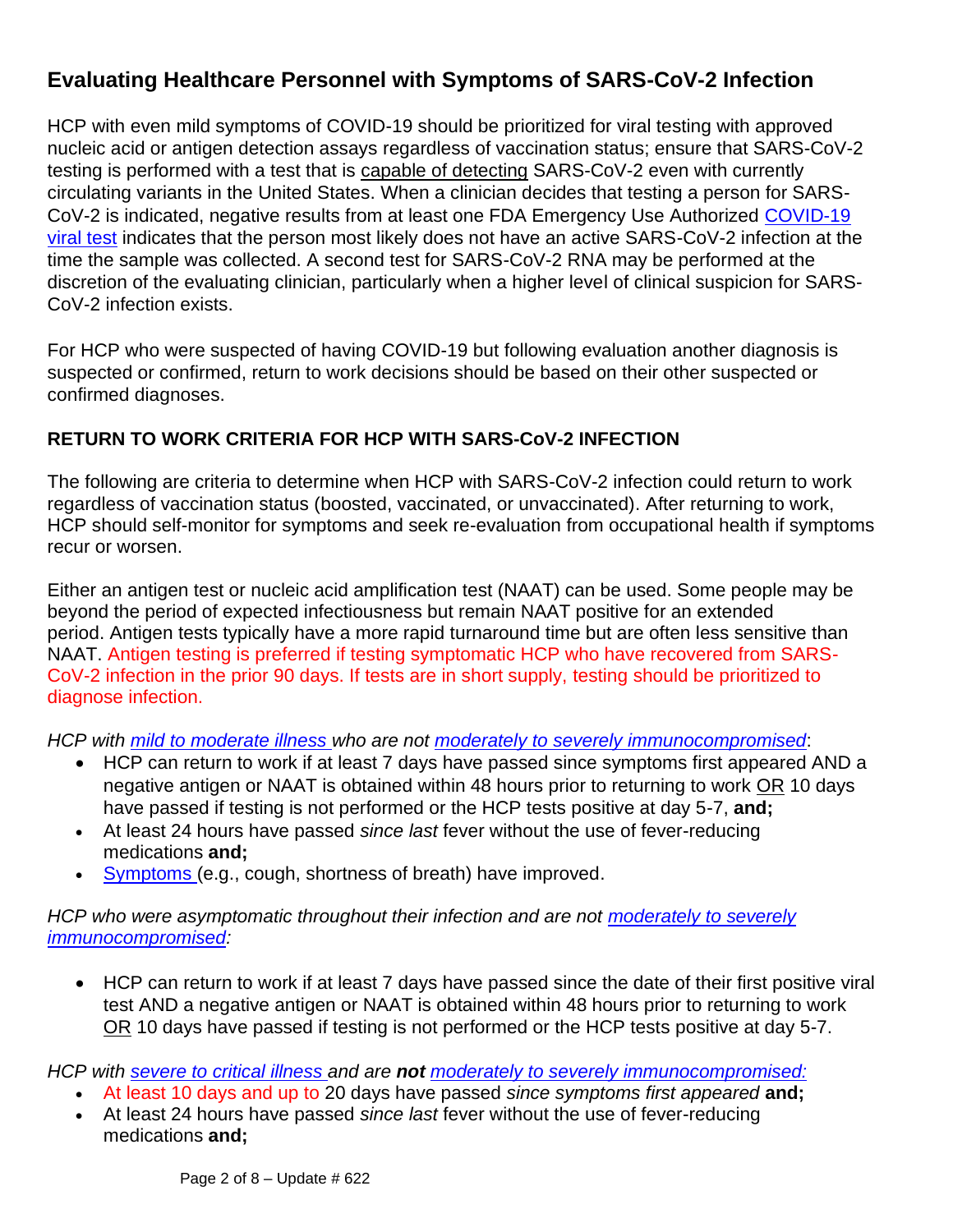# **Evaluating Healthcare Personnel with Symptoms of SARS-CoV-2 Infection**

HCP with even mild symptoms of COVID-19 should be prioritized for viral testing with approved nucleic acid or antigen detection assays regardless of vaccination status; ensure that SARS-CoV-2 testing is performed with a test that is [capable of detecting](https://www.fda.gov/medical-devices/coronavirus-covid-19-and-medical-devices/sars-cov-2-viral-mutations-impact-covid-19-tests?utm_medium=email&utm_source=govdelivery) SARS-CoV-2 even with currently circulating variants in the United States. When a clinician decides that testing a person for SARS-CoV-2 is indicated, negative results from at least one FDA Emergency Use Authorized [COVID-19](https://www.cdc.gov/coronavirus/2019-ncov/hcp/testing-overview.html)  [viral test](https://www.cdc.gov/coronavirus/2019-ncov/hcp/testing-overview.html) indicates that the person most likely does not have an active SARS-CoV-2 infection at the time the sample was collected. A second test for SARS-CoV-2 RNA may be performed at the discretion of the evaluating clinician, particularly when a higher level of clinical suspicion for SARS-CoV-2 infection exists.

For HCP who were suspected of having COVID-19 but following evaluation another diagnosis is suspected or confirmed, return to work decisions should be based on their other suspected or confirmed diagnoses.

# **RETURN TO WORK CRITERIA FOR HCP WITH SARS-CoV-2 INFECTION**

The following are criteria to determine when HCP with SARS-CoV-2 infection could return to work regardless of vaccination status (boosted, vaccinated, or unvaccinated). After returning to work, HCP should self-monitor for symptoms and seek re-evaluation from occupational health if symptoms recur or worsen.

Either an antigen test or nucleic acid amplification test (NAAT) can be used. Some people may be beyond the period of expected infectiousness but remain NAAT positive for an extended period. Antigen tests typically have a more rapid turnaround time but are often less sensitive than NAAT. Antigen testing is preferred if testing symptomatic HCP who have recovered from SARS-CoV-2 infection in the prior 90 days. If tests are in short supply, testing should be prioritized to diagnose infection.

*HCP with [mild to moderate illness](#page-6-0) who are not moderately to [severely immunocompromised](#page-6-1)*:

- HCP can return to work if at least 7 days have passed since symptoms first appeared AND a negative antigen or NAAT is obtained within 48 hours prior to returning to work OR 10 days have passed if testing is not performed or the HCP tests positive at day 5-7, **and;**
- At least 24 hours have passed *since last* fever without the use of fever-reducing medications **and;**
- [Symptoms \(](https://www.cdc.gov/coronavirus/2019-ncov/symptoms-testing/symptoms.html)e.g., cough, shortness of breath) have improved.

#### *HCP who were asymptomatic throughout their infection and are not [moderately](#page-6-1) to severely [immunocompromised:](#page-6-1)*

• HCP can return to work if at least 7 days have passed since the date of their first positive viral test AND a negative antigen or NAAT is obtained within 48 hours prior to returning to work OR 10 days have passed if testing is not performed or the HCP tests positive at day 5-7.

*HCP with [severe to critical illness](#page-6-0) and are not [moderately to severely immunocompromised:](#page-6-1)*

- At least 10 days and up to 20 days have passed *since symptoms first appeared* **and;**
- At least 24 hours have passed *since last* fever without the use of fever-reducing medications **and;**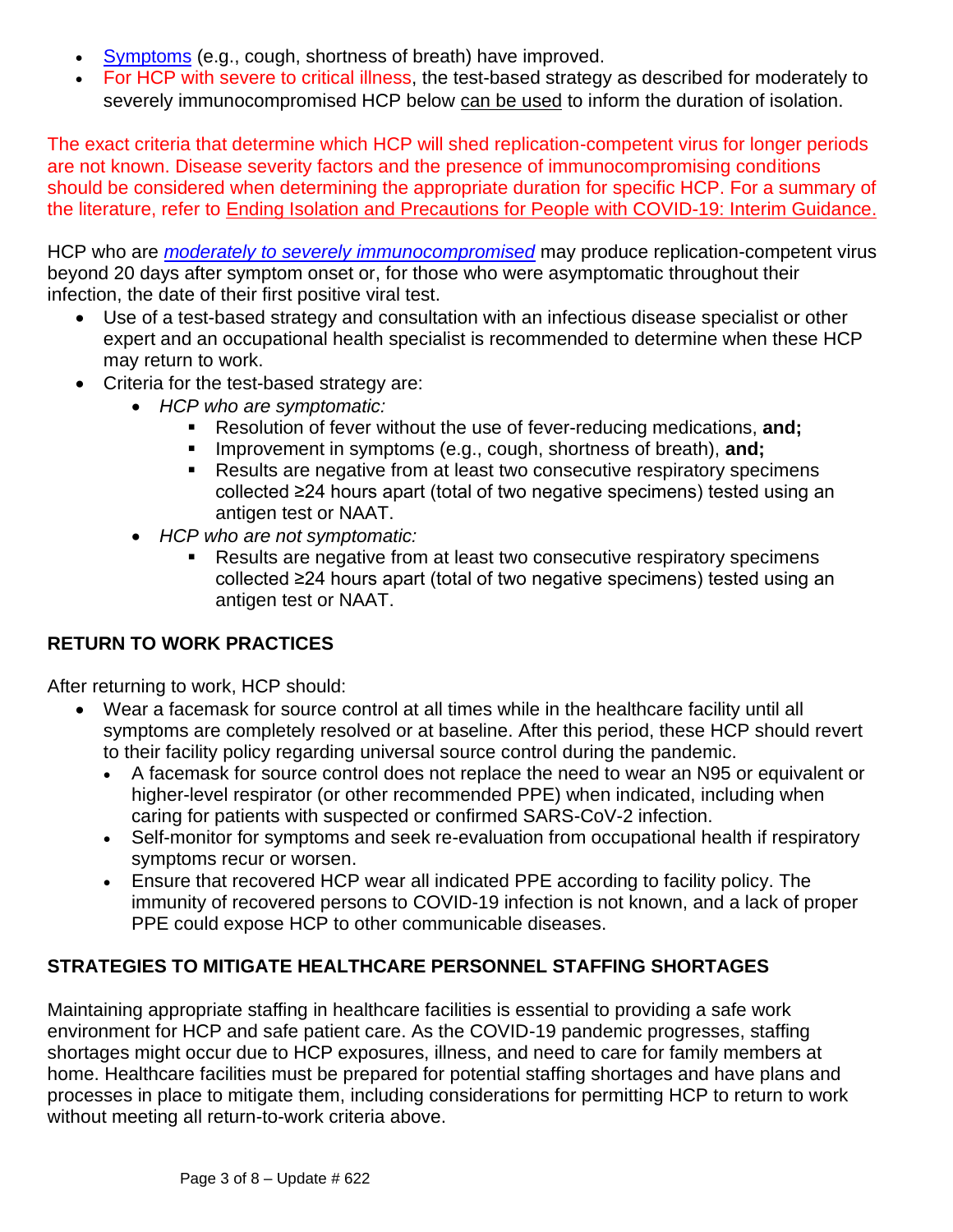- [Symptoms](https://www.cdc.gov/coronavirus/2019-ncov/symptoms-testing/symptoms.html) (e.g., cough, shortness of breath) have improved.
- For HCP with severe to critical illness, the test-based strategy as described for moderately to severely immunocompromised HCP below can be used to inform the duration of isolation.

The exact criteria that determine which HCP will shed replication-competent virus for longer periods are not known. Disease severity factors and the presence of immunocompromising conditions should be considered when determining the appropriate duration for specific HCP. For a summary of the literature, refer to [Ending Isolation and Precautions for People with COVID-19: Interim Guidance.](https://www.cdc.gov/coronavirus/2019-ncov/hcp/duration-isolation.html)

HCP who are *[moderately to severely immunocompromised](#page-6-1)* may produce replication-competent virus beyond 20 days after symptom onset or, for those who were asymptomatic throughout their infection, the date of their first positive viral test.

- Use of a test-based strategy and consultation with an infectious disease specialist or other expert and an occupational health specialist is recommended to determine when these HCP may return to work.
- Criteria for the test-based strategy are:
	- *HCP who are symptomatic:*
		- Resolution of fever without the use of fever-reducing medications, **and;**
		- Improvement in symptoms (e.g., cough, shortness of breath), and;
		- Results are negative from at least two consecutive respiratory specimens collected ≥24 hours apart (total of two negative specimens) tested using an antigen test or NAAT.
		- *HCP who are not symptomatic:* 
			- Results are negative from at least two consecutive respiratory specimens collected ≥24 hours apart (total of two negative specimens) tested using an antigen test or NAAT.

# **RETURN TO WORK PRACTICES**

After returning to work, HCP should:

- Wear a facemask for source control at all times while in the healthcare facility until all symptoms are completely resolved or at baseline. After this period, these HCP should revert to their facility policy regarding universal source control during the pandemic.
	- A facemask for source control does not replace the need to wear an N95 or equivalent or higher-level respirator (or other recommended PPE) when indicated, including when caring for patients with suspected or confirmed SARS-CoV-2 infection.
	- Self-monitor for symptoms and seek re-evaluation from occupational health if respiratory symptoms recur or worsen.
	- Ensure that recovered HCP wear all indicated PPE according to facility policy. The immunity of recovered persons to COVID-19 infection is not known, and a lack of proper PPE could expose HCP to other communicable diseases.

# **STRATEGIES TO MITIGATE HEALTHCARE PERSONNEL STAFFING SHORTAGES**

Maintaining appropriate staffing in healthcare facilities is essential to providing a safe work environment for HCP and safe patient care. As the COVID-19 pandemic progresses, staffing shortages might occur due to HCP exposures, illness, and need to care for family members at home. Healthcare facilities must be prepared for potential staffing shortages and have plans and processes in place to mitigate them, including considerations for permitting HCP to return to work without meeting all return-to-work criteria above.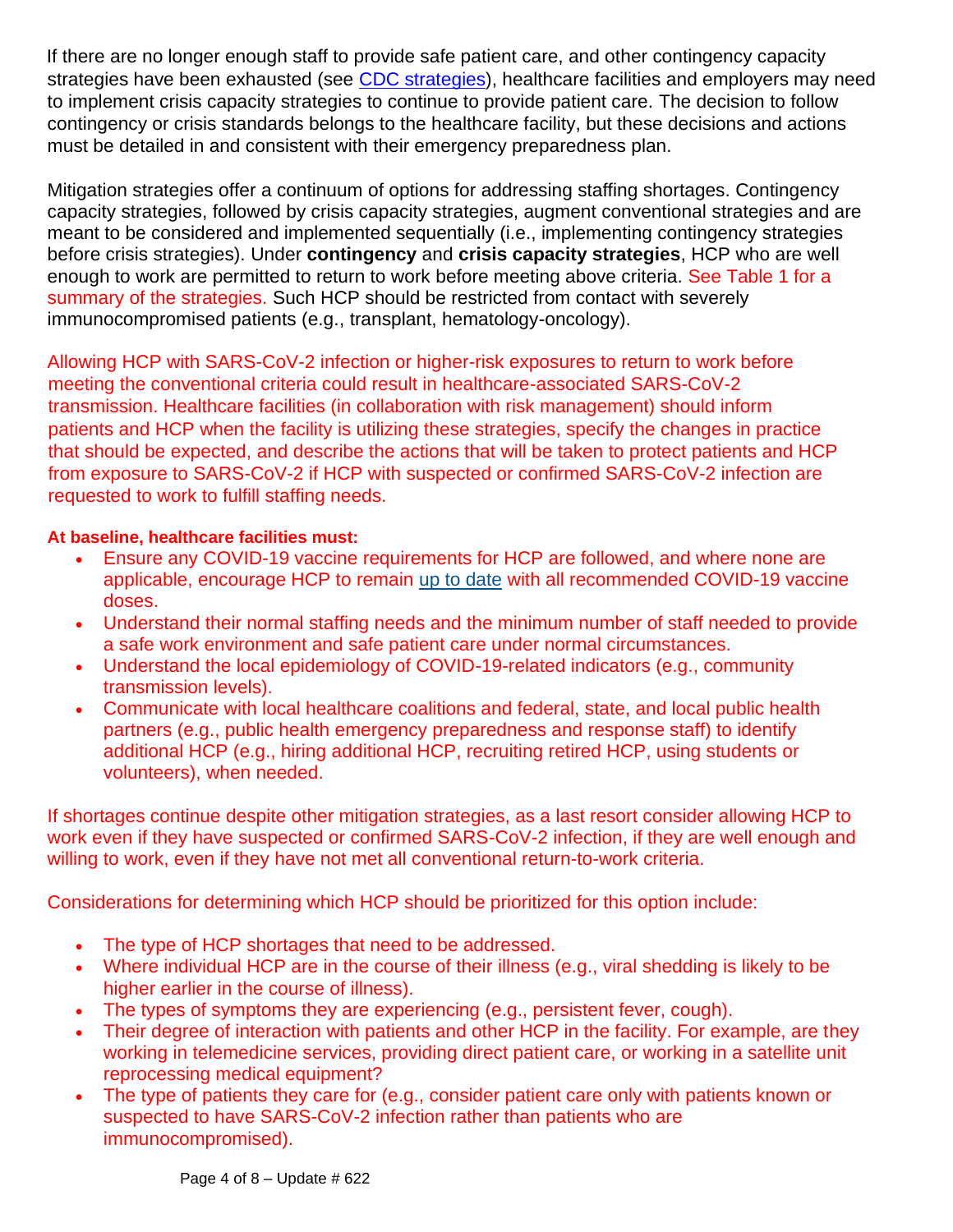If there are no longer enough staff to provide safe patient care, and other contingency capacity strategies have been exhausted (see [CDC strategies\)](https://www.cdc.gov/coronavirus/2019-ncov/hcp/mitigating-staff-shortages.html), healthcare facilities and employers may need to implement crisis capacity strategies to continue to provide patient care. The decision to follow contingency or crisis standards belongs to the healthcare facility, but these decisions and actions must be detailed in and consistent with their emergency preparedness plan.

Mitigation strategies offer a continuum of options for addressing staffing shortages. Contingency capacity strategies, followed by crisis capacity strategies, augment conventional strategies and are meant to be considered and implemented sequentially (i.e., implementing contingency strategies before crisis strategies). Under **contingency** and **crisis capacity strategies**, HCP who are well enough to work are permitted to return to work before meeting above criteria. See Table 1 for a summary of the strategies. Such HCP should be restricted from contact with severely immunocompromised patients (e.g., transplant, hematology-oncology).

Allowing HCP with SARS-CoV-2 infection or higher-risk exposures to return to work before meeting the conventional criteria could result in healthcare-associated SARS-CoV-2 transmission. Healthcare facilities (in collaboration with risk management) should inform patients and HCP when the facility is utilizing these strategies, specify the changes in practice that should be expected, and describe the actions that will be taken to protect patients and HCP from exposure to SARS-CoV-2 if HCP with suspected or confirmed SARS-CoV-2 infection are requested to work to fulfill staffing needs.

#### **At baseline, healthcare facilities must:**

- Ensure any COVID-19 vaccine requirements for HCP are followed, and where none are applicable, encourage HCP to remain [up to date](https://www.cdc.gov/coronavirus/2019-ncov/vaccines/stay-up-to-date.html?CDC_AA_refVal=https%3A%2F%2Fwww.cdc.gov%2Fcoronavirus%2F2019-ncov%2Fvaccines%2Ffully-vaccinated.html) with all recommended COVID-19 vaccine doses.
- Understand their normal staffing needs and the minimum number of staff needed to provide a safe work environment and safe patient care under normal circumstances.
- Understand the local epidemiology of COVID-19-related indicators (e.g., community transmission levels).
- Communicate with local healthcare coalitions and federal, state, and local public health partners (e.g., public health emergency preparedness and response staff) to identify additional HCP (e.g., hiring additional HCP, recruiting retired HCP, using students or volunteers), when needed.

If shortages continue despite other mitigation strategies, as a last resort consider allowing HCP to work even if they have suspected or confirmed SARS-CoV-2 infection, if they are well enough and willing to work, even if they have not met all conventional return-to-work criteria.

Considerations for determining which HCP should be prioritized for this option include:

- The type of HCP shortages that need to be addressed.
- Where individual HCP are in the course of their illness (e.g., viral shedding is likely to be higher earlier in the course of illness).
- The types of symptoms they are experiencing (e.g., persistent fever, cough).
- Their degree of interaction with patients and other HCP in the facility. For example, are they working in telemedicine services, providing direct patient care, or working in a satellite unit reprocessing medical equipment?
- The type of patients they care for (e.g., consider patient care only with patients known or suspected to have SARS-CoV-2 infection rather than patients who are immunocompromised).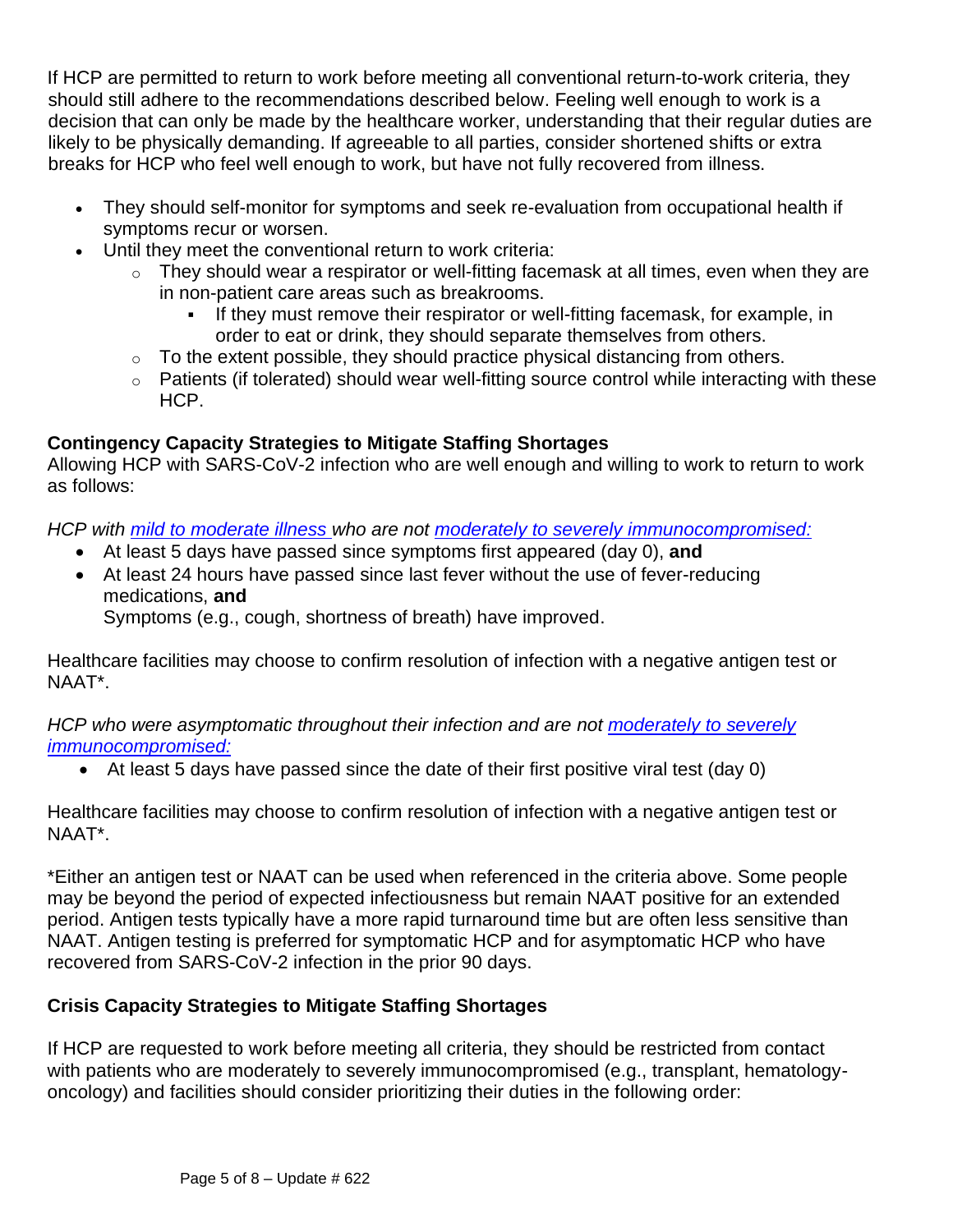If HCP are permitted to return to work before meeting all conventional return-to-work criteria, they should still adhere to the recommendations described below. Feeling well enough to work is a decision that can only be made by the healthcare worker, understanding that their regular duties are likely to be physically demanding. If agreeable to all parties, consider shortened shifts or extra breaks for HCP who feel well enough to work, but have not fully recovered from illness.

- They should self-monitor for symptoms and seek re-evaluation from occupational health if symptoms recur or worsen.
- Until they meet the conventional return to work criteria:
	- $\circ$  They should wear a respirator or well-fitting facemask at all times, even when they are in non-patient care areas such as breakrooms.
		- If they must remove their respirator or well-fitting facemask, for example, in order to eat or drink, they should separate themselves from others.
	- $\circ$  To the extent possible, they should practice physical distancing from others.
	- o Patients (if tolerated) should wear [well-fitting source control](https://www.cdc.gov/coronavirus/2019-ncov/hcp/infection-control-recommendations.html#source-control) while interacting with these HCP.

## **Contingency Capacity Strategies to Mitigate Staffing Shortages**

Allowing HCP with SARS-CoV-2 infection who are well enough and willing to work to return to work as follows:

*HCP with [mild to moderate illness](#page-6-0) who are not [moderately to severely immunocompromised:](#page-6-1)*

- At least 5 days have passed since symptoms first appeared (day 0), **and**
- At least 24 hours have passed since last fever without the use of fever-reducing medications, **and**

Symptoms (e.g., cough, shortness of breath) have improved.

Healthcare facilities may choose to confirm resolution of infection with a negative antigen test or NAAT\*.

*HCP who were asymptomatic throughout their infection and are not [moderately to severely](#page-6-1)  [immunocompromised:](#page-6-1)*

• At least 5 days have passed since the date of their first positive viral test (day 0)

Healthcare facilities may choose to confirm resolution of infection with a negative antigen test or NAAT\*.

\*Either an antigen test or NAAT can be used when referenced in the criteria above. Some people may be beyond the period of expected infectiousness but remain NAAT positive for an extended period. Antigen tests typically have a more rapid turnaround time but are often less sensitive than NAAT. Antigen testing is preferred for symptomatic HCP and for asymptomatic HCP who have recovered from SARS-CoV-2 infection in the prior 90 days.

# **Crisis Capacity Strategies to Mitigate Staffing Shortages**

If HCP are requested to work before meeting all criteria, they should be restricted from contact with patients who are moderately to severely immunocompromised (e.g., transplant, hematologyoncology) and facilities should consider prioritizing their duties in the following order: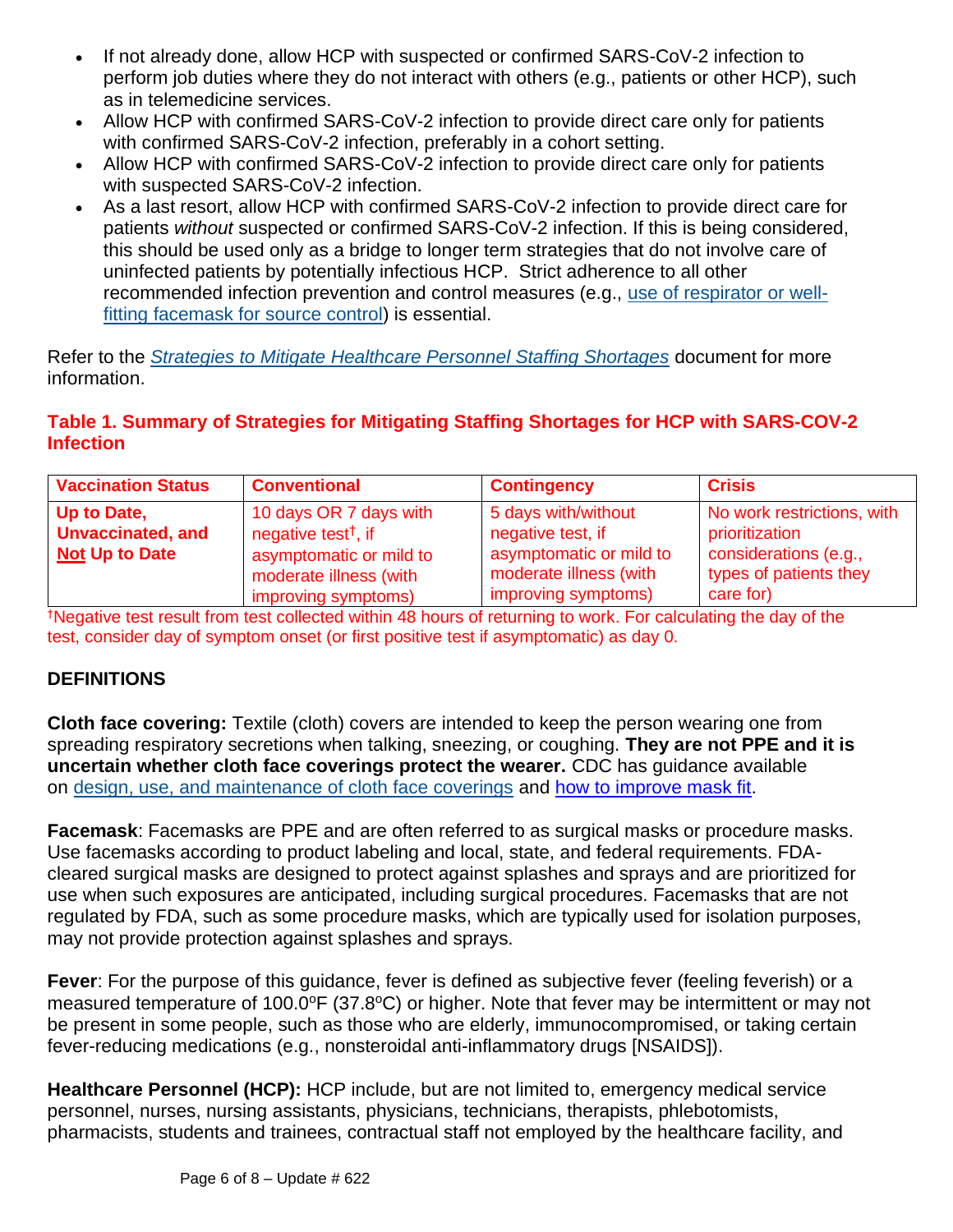- If not already done, allow HCP with suspected or confirmed SARS-CoV-2 infection to perform job duties where they do not interact with others (e.g., patients or other HCP), such as in telemedicine services.
- Allow HCP with confirmed SARS-CoV-2 infection to provide direct care only for patients with confirmed SARS-CoV-2 infection, preferably in a cohort setting.
- Allow HCP with confirmed SARS-CoV-2 infection to provide direct care only for patients with suspected SARS-CoV-2 infection.
- As a last resort, allow HCP with confirmed SARS-CoV-2 infection to provide direct care for patients *without* suspected or confirmed SARS-CoV-2 infection. If this is being considered, this should be used only as a bridge to longer term strategies that do not involve care of uninfected patients by potentially infectious HCP. Strict adherence to all other recommended infection prevention and control measures (e.g., [use of respirator or well](https://www.cdc.gov/coronavirus/2019-ncov/hcp/infection-control-recommendations.html#useppe)[fitting facemask for source control\)](https://www.cdc.gov/coronavirus/2019-ncov/hcp/infection-control-recommendations.html#useppe) is essential.

Refer to the *[Strategies to Mitigate Healthcare Personnel Staffing Shortages](https://www.cdc.gov/coronavirus/2019-ncov/hcp/mitigating-staff-shortages.html)* document for more information.

## **Table 1. Summary of Strategies for Mitigating Staffing Shortages for HCP with SARS-COV-2 Infection**

| <b>Vaccination Status</b> | <b>Conventional</b>             | <b>Contingency</b>      | <b>Crisis</b>              |
|---------------------------|---------------------------------|-------------------------|----------------------------|
| Up to Date,               | 10 days OR 7 days with          | 5 days with/without     | No work restrictions, with |
| <b>Unvaccinated, and</b>  | negative test <sup>†</sup> , if | negative test, if       | prioritization             |
| <b>Not Up to Date</b>     | asymptomatic or mild to         | asymptomatic or mild to | considerations (e.g.,      |
|                           | moderate illness (with          | moderate illness (with  | types of patients they     |
|                           | improving symptoms)             | improving symptoms)     | care for)                  |

†Negative test result from test collected within 48 hours of returning to work. For calculating the day of the test, consider day of symptom onset (or first positive test if asymptomatic) as day 0.

# **DEFINITIONS**

**Cloth face covering:** Textile (cloth) covers are intended to keep the person wearing one from spreading respiratory secretions when talking, sneezing, or coughing. **They are not PPE and it is uncertain whether cloth face coverings protect the wearer.** CDC has guidance available on [design, use, and maintenance of cloth face coverings](https://www.cdc.gov/coronavirus/2019-ncov/prevent-getting-sick/diy-cloth-face-coverings.html) and [how to improve mask fit.](https://www.cdc.gov/coronavirus/2019-ncov/prevent-getting-sick/mask-fit-and-filtration.html)

**Facemask**: Facemasks are PPE and are often referred to as surgical masks or procedure masks. Use facemasks according to product labeling and local, state, and federal requirements. FDAcleared surgical masks are designed to protect against splashes and sprays and are prioritized for use when such exposures are anticipated, including surgical procedures. Facemasks that are not regulated by FDA, such as some procedure masks, which are typically used for isolation purposes, may not provide protection against splashes and sprays.

**Fever**: For the purpose of this guidance, fever is defined as subjective fever (feeling feverish) or a measured temperature of 100.0°F (37.8°C) or higher. Note that fever may be intermittent or may not be present in some people, such as those who are elderly, immunocompromised, or taking certain fever-reducing medications (e.g., nonsteroidal anti-inflammatory drugs [NSAIDS]).

**Healthcare Personnel (HCP):** HCP include, but are not limited to, emergency medical service personnel, nurses, nursing assistants, physicians, technicians, therapists, phlebotomists, pharmacists, students and trainees, contractual staff not employed by the healthcare facility, and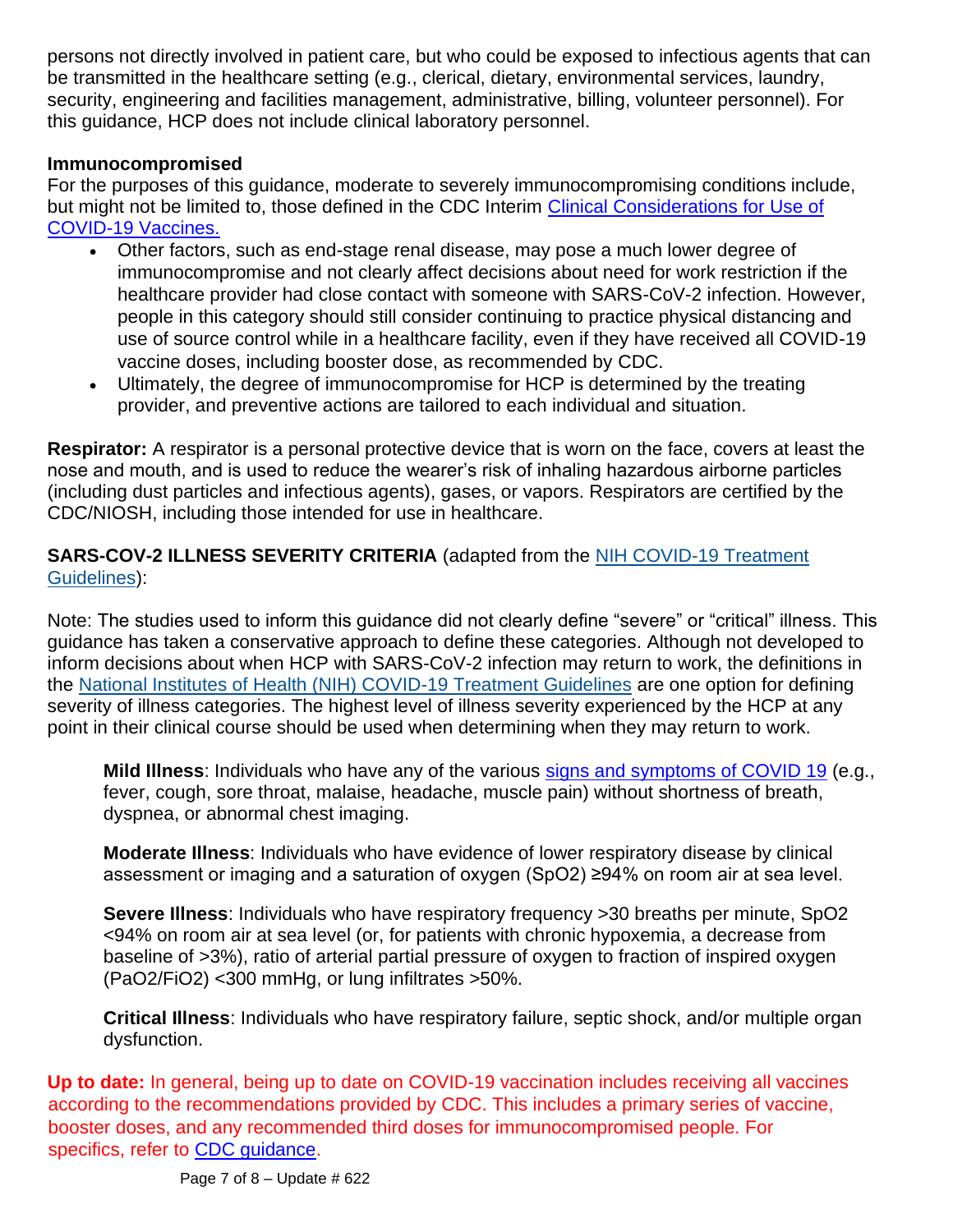persons not directly involved in patient care, but who could be exposed to infectious agents that can be transmitted in the healthcare setting (e.g., clerical, dietary, environmental services, laundry, security, engineering and facilities management, administrative, billing, volunteer personnel). For this guidance, HCP does not include clinical laboratory personnel.

#### <span id="page-6-1"></span>**Immunocompromised**

For the purposes of this guidance, moderate to severely immunocompromising conditions include, but might not be limited to, those defined in the CDC Interim Clinical Considerations for Use of [COVID-19 Vaccines.](https://www.cdc.gov/vaccines/covid-19/clinical-considerations/covid-19-vaccines-us.html?CDC_AA_refVal=https%3A%2F%2Fwww.cdc.gov%2Fvaccines%2Fcovid-19%2Finfo-by-product%2Fclinical-considerations.html)

- Other factors, such as end-stage renal disease, may pose a much lower degree of immunocompromise and not clearly affect decisions about need for work restriction if the healthcare provider had close contact with someone with SARS-CoV-2 infection. However, people in this category should still consider continuing to practice physical distancing and use of source control while in a healthcare facility, even if they have received all COVID-19 vaccine doses, including booster dose, as recommended by [CDC.](https://www.cdc.gov/vaccines/covid-19/clinical-considerations/covid-19-vaccines-us.html)
- Ultimately, the degree of immunocompromise for HCP is determined by the treating provider, and preventive actions are tailored to each individual and situation.

**Respirator:** A respirator is a personal protective device that is worn on the face, covers at least the nose and mouth, and is used to reduce the wearer's risk of inhaling hazardous airborne particles (including dust particles and infectious agents), gases, or vapors. Respirators are certified by the CDC/NIOSH, including those intended for use in healthcare.

### **SARS-COV-2 ILLNESS SEVERITY CRITERIA** (adapted from the [NIH COVID-19 Treatment](https://www.covid19treatmentguidelines.nih.gov/overview/management-of-covid-19/)  [Guidelines\)](https://www.covid19treatmentguidelines.nih.gov/overview/management-of-covid-19/):

Note: The studies used to inform this guidance did not clearly define "severe" or "critical" illness. This guidance has taken a conservative approach to define these categories. Although not developed to inform decisions about when HCP with SARS-CoV-2 infection may return to work, the definitions in the [National Institutes of Health \(NIH\) COVID-19 Treatment Guidelines](https://www.covid19treatmentguidelines.nih.gov/overview/management-of-covid-19/) are one option for defining severity of illness categories. The highest level of illness severity experienced by the HCP at any point in their clinical course should be used when determining when they may return to work.

<span id="page-6-0"></span>**Mild Illness**: Individuals who have any of the various [signs and symptoms of COVID 19](https://www.cdc.gov/coronavirus/2019-ncov/symptoms-testing/symptoms.html) (e.g., fever, cough, sore throat, malaise, headache, muscle pain) without shortness of breath, dyspnea, or abnormal chest imaging.

**Moderate Illness**: Individuals who have evidence of lower respiratory disease by clinical assessment or imaging and a saturation of oxygen (SpO2) ≥94% on room air at sea level.

**Severe Illness**: Individuals who have respiratory frequency >30 breaths per minute, SpO2 <94% on room air at sea level (or, for patients with chronic hypoxemia, a decrease from baseline of >3%), ratio of arterial partial pressure of oxygen to fraction of inspired oxygen (PaO2/FiO2) <300 mmHg, or lung infiltrates >50%.

**Critical Illness**: Individuals who have respiratory failure, septic shock, and/or multiple organ dysfunction.

**Up to date:** In general, being up to date on COVID-19 vaccination includes receiving all vaccines according to the recommendations provided by CDC. This includes a primary series of vaccine, booster doses, and any recommended third doses for immunocompromised people. For specifics, refer to [CDC guidance.](https://www.cdc.gov/coronavirus/2019-ncov/vaccines/stay-up-to-date.html)